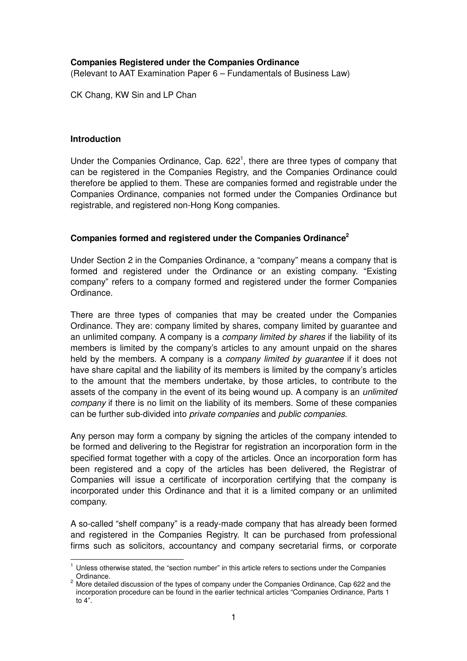# **Companies Registered under the Companies Ordinance**

(Relevant to AAT Examination Paper 6 – Fundamentals of Business Law)

CK Chang, KW Sin and LP Chan

### **Introduction**

 $\overline{a}$ 

Under the Companies Ordinance, Cap.  $622<sup>1</sup>$ , there are three types of company that can be registered in the Companies Registry, and the Companies Ordinance could therefore be applied to them. These are companies formed and registrable under the Companies Ordinance, companies not formed under the Companies Ordinance but registrable, and registered non-Hong Kong companies.

### **Companies formed and registered under the Companies Ordinance<sup>2</sup>**

Under Section 2 in the Companies Ordinance, a "company" means a company that is formed and registered under the Ordinance or an existing company. "Existing company" refers to a company formed and registered under the former Companies Ordinance.

There are three types of companies that may be created under the Companies Ordinance. They are: company limited by shares, company limited by guarantee and an unlimited company. A company is a *company limited by shares* if the liability of its members is limited by the company's articles to any amount unpaid on the shares held by the members. A company is a *company limited by quarantee* if it does not have share capital and the liability of its members is limited by the company's articles to the amount that the members undertake, by those articles, to contribute to the assets of the company in the event of its being wound up. A company is an unlimited company if there is no limit on the liability of its members. Some of these companies can be further sub-divided into private companies and public companies.

Any person may form a company by signing the articles of the company intended to be formed and delivering to the Registrar for registration an incorporation form in the specified format together with a copy of the articles. Once an incorporation form has been registered and a copy of the articles has been delivered, the Registrar of Companies will issue a certificate of incorporation certifying that the company is incorporated under this Ordinance and that it is a limited company or an unlimited company.

A so-called "shelf company" is a ready-made company that has already been formed and registered in the Companies Registry. It can be purchased from professional firms such as solicitors, accountancy and company secretarial firms, or corporate

<sup>&</sup>lt;sup>1</sup> Unless otherwise stated, the "section number" in this article refers to sections under the Companies Ordinance.

 $2$  More detailed discussion of the types of company under the Companies Ordinance, Cap 622 and the incorporation procedure can be found in the earlier technical articles "Companies Ordinance, Parts 1 to 4".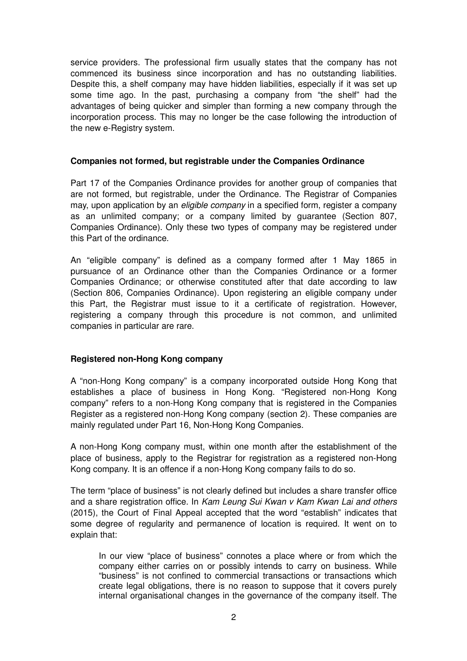service providers. The professional firm usually states that the company has not commenced its business since incorporation and has no outstanding liabilities. Despite this, a shelf company may have hidden liabilities, especially if it was set up some time ago. In the past, purchasing a company from "the shelf" had the advantages of being quicker and simpler than forming a new company through the incorporation process. This may no longer be the case following the introduction of the new e-Registry system.

# **Companies not formed, but registrable under the Companies Ordinance**

Part 17 of the Companies Ordinance provides for another group of companies that are not formed, but registrable, under the Ordinance. The Registrar of Companies may, upon application by an *eligible company* in a specified form, register a company as an unlimited company; or a company limited by guarantee (Section 807, Companies Ordinance). Only these two types of company may be registered under this Part of the ordinance.

An "eligible company" is defined as a company formed after 1 May 1865 in pursuance of an Ordinance other than the Companies Ordinance or a former Companies Ordinance; or otherwise constituted after that date according to law (Section 806, Companies Ordinance). Upon registering an eligible company under this Part, the Registrar must issue to it a certificate of registration. However, registering a company through this procedure is not common, and unlimited companies in particular are rare.

## **Registered non-Hong Kong company**

A "non-Hong Kong company" is a company incorporated outside Hong Kong that establishes a place of business in Hong Kong. "Registered non-Hong Kong company" refers to a non-Hong Kong company that is registered in the Companies Register as a registered non-Hong Kong company (section 2). These companies are mainly regulated under Part 16, Non-Hong Kong Companies.

A non-Hong Kong company must, within one month after the establishment of the place of business, apply to the Registrar for registration as a registered non-Hong Kong company. It is an offence if a non-Hong Kong company fails to do so.

The term "place of business" is not clearly defined but includes a share transfer office and a share registration office. In Kam Leung Sui Kwan v Kam Kwan Lai and others (2015), the Court of Final Appeal accepted that the word "establish" indicates that some degree of regularity and permanence of location is required. It went on to explain that:

In our view "place of business" connotes a place where or from which the company either carries on or possibly intends to carry on business. While "business" is not confined to commercial transactions or transactions which create legal obligations, there is no reason to suppose that it covers purely internal organisational changes in the governance of the company itself. The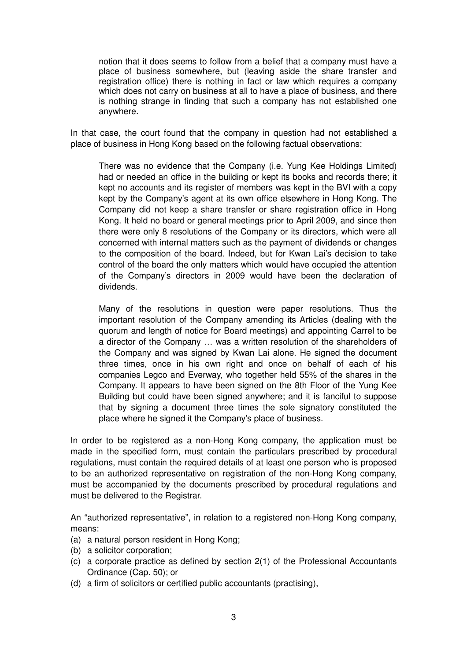notion that it does seems to follow from a belief that a company must have a place of business somewhere, but (leaving aside the share transfer and registration office) there is nothing in fact or law which requires a company which does not carry on business at all to have a place of business, and there is nothing strange in finding that such a company has not established one anywhere.

In that case, the court found that the company in question had not established a place of business in Hong Kong based on the following factual observations:

There was no evidence that the Company (i.e. Yung Kee Holdings Limited) had or needed an office in the building or kept its books and records there; it kept no accounts and its register of members was kept in the BVI with a copy kept by the Company's agent at its own office elsewhere in Hong Kong. The Company did not keep a share transfer or share registration office in Hong Kong. It held no board or general meetings prior to April 2009, and since then there were only 8 resolutions of the Company or its directors, which were all concerned with internal matters such as the payment of dividends or changes to the composition of the board. Indeed, but for Kwan Lai's decision to take control of the board the only matters which would have occupied the attention of the Company's directors in 2009 would have been the declaration of dividends.

Many of the resolutions in question were paper resolutions. Thus the important resolution of the Company amending its Articles (dealing with the quorum and length of notice for Board meetings) and appointing Carrel to be a director of the Company … was a written resolution of the shareholders of the Company and was signed by Kwan Lai alone. He signed the document three times, once in his own right and once on behalf of each of his companies Legco and Everway, who together held 55% of the shares in the Company. It appears to have been signed on the 8th Floor of the Yung Kee Building but could have been signed anywhere; and it is fanciful to suppose that by signing a document three times the sole signatory constituted the place where he signed it the Company's place of business.

In order to be registered as a non-Hong Kong company, the application must be made in the specified form, must contain the particulars prescribed by procedural regulations, must contain the required details of at least one person who is proposed to be an authorized representative on registration of the non-Hong Kong company, must be accompanied by the documents prescribed by procedural regulations and must be delivered to the Registrar.

An "authorized representative", in relation to a registered non-Hong Kong company, means:

- (a) a natural person resident in Hong Kong;
- (b) a solicitor corporation;
- (c) a corporate practice as defined by section 2(1) of the Professional Accountants Ordinance (Cap. 50); or
- (d) a firm of solicitors or certified public accountants (practising),